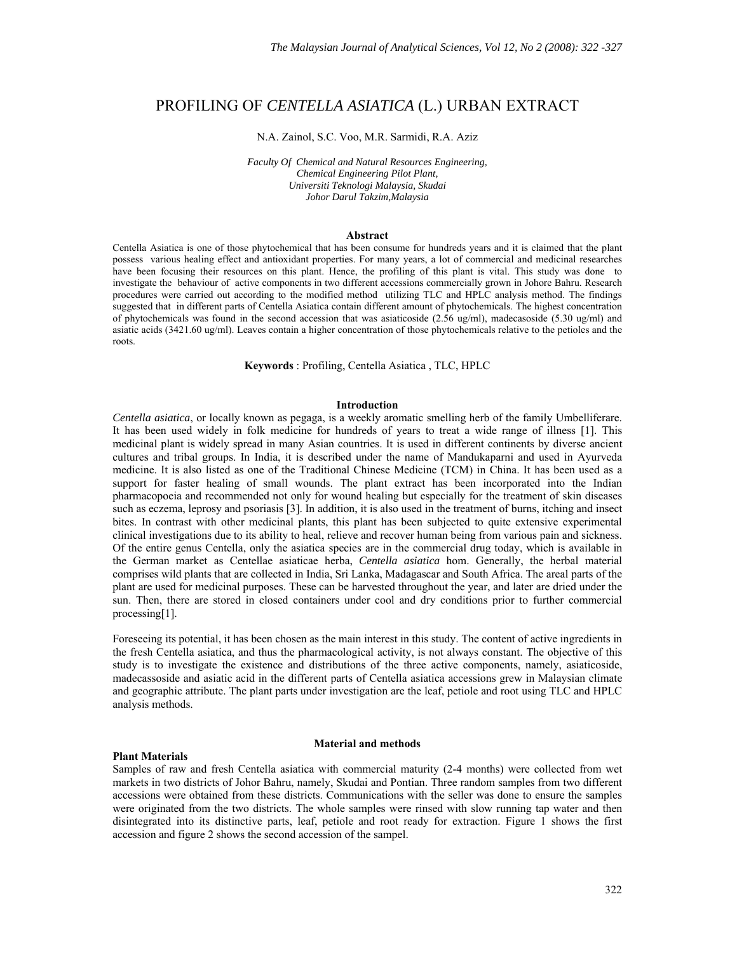# PROFILING OF *CENTELLA ASIATICA* (L.) URBAN EXTRACT

#### N.A. Zainol, S.C. Voo, M.R. Sarmidi, R.A. Aziz

*Faculty Of Chemical and Natural Resources Engineering, Chemical Engineering Pilot Plant, Universiti Teknologi Malaysia, Skudai Johor Darul Takzim,Malaysia* 

#### **Abstract**

Centella Asiatica is one of those phytochemical that has been consume for hundreds years and it is claimed that the plant possess various healing effect and antioxidant properties. For many years, a lot of commercial and medicinal researches have been focusing their resources on this plant. Hence, the profiling of this plant is vital. This study was done to investigate the behaviour of active components in two different accessions commercially grown in Johore Bahru. Research procedures were carried out according to the modified method utilizing TLC and HPLC analysis method. The findings suggested that in different parts of Centella Asiatica contain different amount of phytochemicals. The highest concentration of phytochemicals was found in the second accession that was asiaticoside (2.56 ug/ml), madecasoside (5.30 ug/ml) and asiatic acids (3421.60 ug/ml). Leaves contain a higher concentration of those phytochemicals relative to the petioles and the roots.

**Keywords** : Profiling, Centella Asiatica , TLC, HPLC

## **Introduction**

*Centella asiatica*, or locally known as pegaga, is a weekly aromatic smelling herb of the family Umbelliferare. It has been used widely in folk medicine for hundreds of years to treat a wide range of illness [1]. This medicinal plant is widely spread in many Asian countries. It is used in different continents by diverse ancient cultures and tribal groups. In India, it is described under the name of Mandukaparni and used in Ayurveda medicine. It is also listed as one of the Traditional Chinese Medicine (TCM) in China. It has been used as a support for faster healing of small wounds. The plant extract has been incorporated into the Indian pharmacopoeia and recommended not only for wound healing but especially for the treatment of skin diseases such as eczema, leprosy and psoriasis [3]. In addition, it is also used in the treatment of burns, itching and insect bites. In contrast with other medicinal plants, this plant has been subjected to quite extensive experimental clinical investigations due to its ability to heal, relieve and recover human being from various pain and sickness. Of the entire genus Centella, only the asiatica species are in the commercial drug today, which is available in the German market as Centellae asiaticae herba, *Centella asiatica* hom. Generally, the herbal material comprises wild plants that are collected in India, Sri Lanka, Madagascar and South Africa. The areal parts of the plant are used for medicinal purposes. These can be harvested throughout the year, and later are dried under the sun. Then, there are stored in closed containers under cool and dry conditions prior to further commercial processing[1].

Foreseeing its potential, it has been chosen as the main interest in this study. The content of active ingredients in the fresh Centella asiatica, and thus the pharmacological activity, is not always constant. The objective of this study is to investigate the existence and distributions of the three active components, namely, asiaticoside, madecassoside and asiatic acid in the different parts of Centella asiatica accessions grew in Malaysian climate and geographic attribute. The plant parts under investigation are the leaf, petiole and root using TLC and HPLC analysis methods.

## **Plant Materials**

#### **Material and methods**

Samples of raw and fresh Centella asiatica with commercial maturity (2-4 months) were collected from wet markets in two districts of Johor Bahru, namely, Skudai and Pontian. Three random samples from two different accessions were obtained from these districts. Communications with the seller was done to ensure the samples were originated from the two districts. The whole samples were rinsed with slow running tap water and then disintegrated into its distinctive parts, leaf, petiole and root ready for extraction. Figure 1 shows the first accession and figure 2 shows the second accession of the sampel.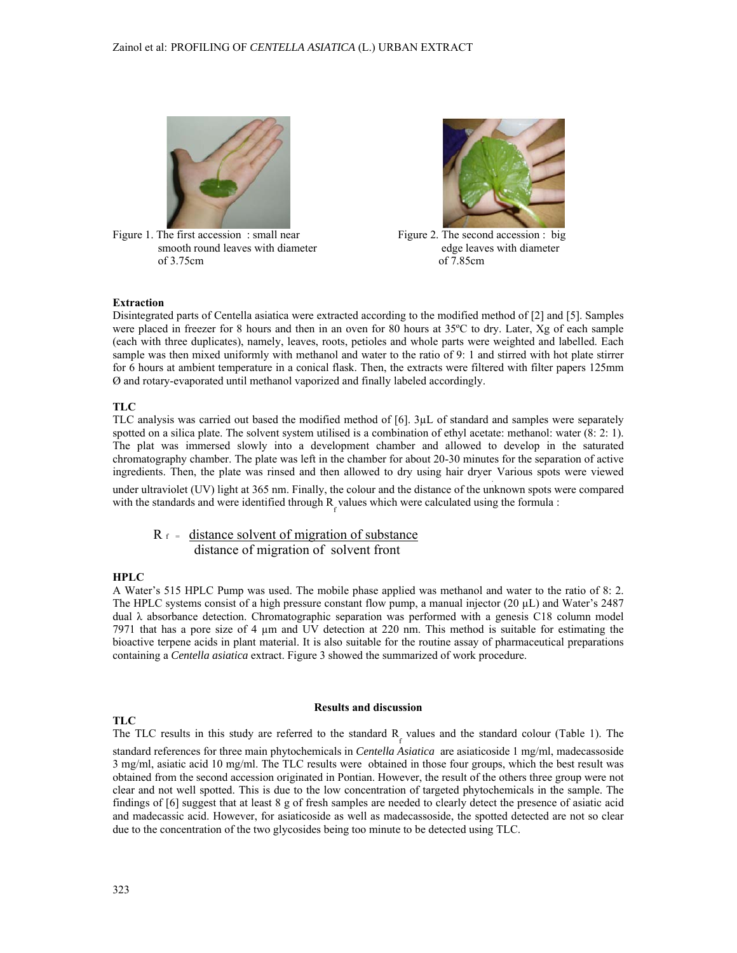

Figure 1. The first accession : small near Figure 2. The second accession : big smooth round leaves with diameter edge leaves with diameter of 3.75cm of 7.85cm



# **Extraction**

Disintegrated parts of Centella asiatica were extracted according to the modified method of [2] and [5]. Samples were placed in freezer for 8 hours and then in an oven for 80 hours at 35ºC to dry. Later, Xg of each sample (each with three duplicates), namely, leaves, roots, petioles and whole parts were weighted and labelled. Each sample was then mixed uniformly with methanol and water to the ratio of 9: 1 and stirred with hot plate stirrer for 6 hours at ambient temperature in a conical flask. Then, the extracts were filtered with filter papers 125mm Ø and rotary-evaporated until methanol vaporized and finally labeled accordingly.

# **TLC**

TLC analysis was carried out based the modified method of [6]. 3µL of standard and samples were separately spotted on a silica plate. The solvent system utilised is a combination of ethyl acetate: methanol: water  $(8: 2: 1)$ . The plat was immersed slowly into a development chamber and allowed to develop in the saturated chromatography chamber. The plate was left in the chamber for about 20-30 minutes for the separation of active ingredients. Then, the plate was rinsed and then allowed to dry using hair dryer. Various spots were viewed

under ultraviolet (UV) light at 365 nm. Finally, the colour and the distance of the unknown spots were compared with the standards and were identified through  $R_f$  values which were calculated using the formula :

# $R_f$  = distance solvent of migration of substance distance of migration of solvent front

# **HPLC**

A Water's 515 HPLC Pump was used. The mobile phase applied was methanol and water to the ratio of 8: 2. The HPLC systems consist of a high pressure constant flow pump, a manual injector  $(20 \mu L)$  and Water's 2487 dual λ absorbance detection. Chromatographic separation was performed with a genesis C18 column model 7971 that has a pore size of 4 µm and UV detection at 220 nm. This method is suitable for estimating the bioactive terpene acids in plant material. It is also suitable for the routine assay of pharmaceutical preparations containing a *Centella asiatica* extract. Figure 3 showed the summarized of work procedure.

# **TLC**

#### **Results and discussion**

The TLC results in this study are referred to the standard  $R_f$  values and the standard colour (Table 1). The standard references for three main phytochemicals in *Centella Asiatica* are asiaticoside 1 mg/ml, madecassoside 3 mg/ml, asiatic acid 10 mg/ml. The TLC results were obtained in those four groups, which the best result was obtained from the second accession originated in Pontian. However, the result of the others three group were not clear and not well spotted. This is due to the low concentration of targeted phytochemicals in the sample. The findings of [6] suggest that at least 8 g of fresh samples are needed to clearly detect the presence of asiatic acid and madecassic acid. However, for asiaticoside as well as madecassoside, the spotted detected are not so clear due to the concentration of the two glycosides being too minute to be detected using TLC.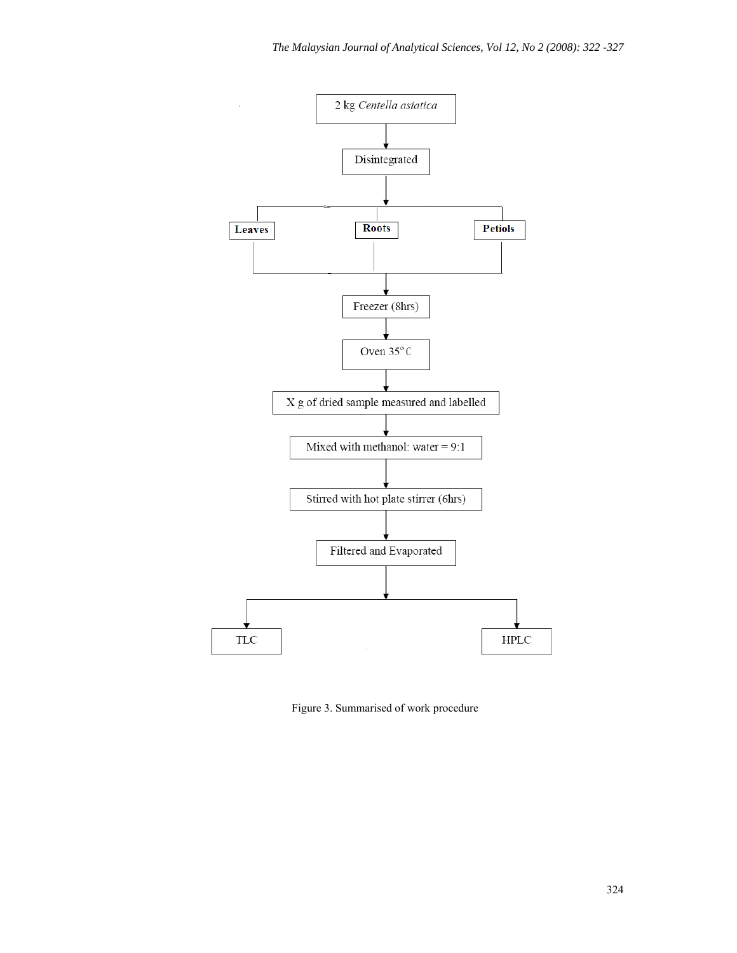

Figure 3. Summarised of work procedure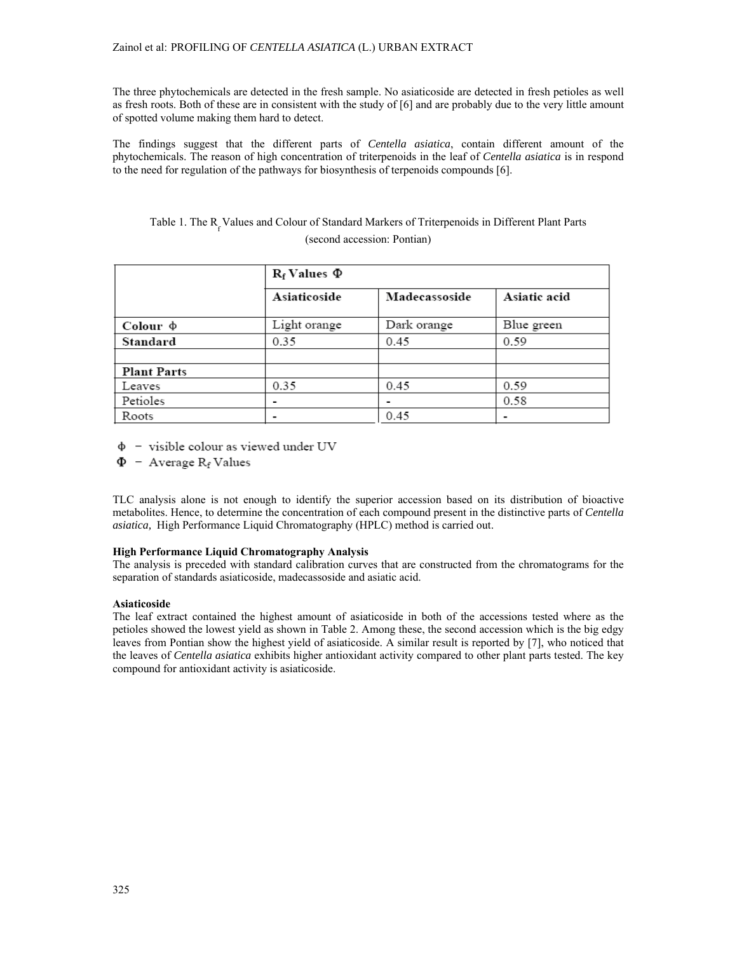The three phytochemicals are detected in the fresh sample. No asiaticoside are detected in fresh petioles as well as fresh roots. Both of these are in consistent with the study of [6] and are probably due to the very little amount of spotted volume making them hard to detect.

The findings suggest that the different parts of *Centella asiatica*, contain different amount of the phytochemicals. The reason of high concentration of triterpenoids in the leaf of *Centella asiatica* is in respond to the need for regulation of the pathways for biosynthesis of terpenoids compounds [6].

# Table 1. The R<sub>f</sub> Values and Colour of Standard Markers of Triterpenoids in Different Plant Parts (second accession: Pontian)

|                    | $R_f$ Values $\Phi$ |               |              |  |  |
|--------------------|---------------------|---------------|--------------|--|--|
|                    | Asiaticoside        | Madecassoside | Asiatic acid |  |  |
| Colour $\phi$      | Light orange        | Dark orange   | Blue green   |  |  |
| Standard           | 0.35                | 0.45          | 0.59         |  |  |
|                    |                     |               |              |  |  |
| <b>Plant Parts</b> |                     |               |              |  |  |
| Leaves             | 0.35                | 0.45          | 0.59         |  |  |
| Petioles           |                     |               | 0.58         |  |  |
| Roots              |                     | 0.45          |              |  |  |

 $\Phi$  - visible colour as viewed under UV

 $\Phi$  - Average R<sub>f</sub> Values

TLC analysis alone is not enough to identify the superior accession based on its distribution of bioactive metabolites. Hence, to determine the concentration of each compound present in the distinctive parts of *Centella asiatica,* High Performance Liquid Chromatography (HPLC) method is carried out.

# **High Performance Liquid Chromatography Analysis**

The analysis is preceded with standard calibration curves that are constructed from the chromatograms for the separation of standards asiaticoside, madecassoside and asiatic acid.

# **Asiaticoside**

The leaf extract contained the highest amount of asiaticoside in both of the accessions tested where as the petioles showed the lowest yield as shown in Table 2. Among these, the second accession which is the big edgy leaves from Pontian show the highest yield of asiaticoside. A similar result is reported by [7], who noticed that the leaves of *Centella asiatica* exhibits higher antioxidant activity compared to other plant parts tested. The key compound for antioxidant activity is asiaticoside.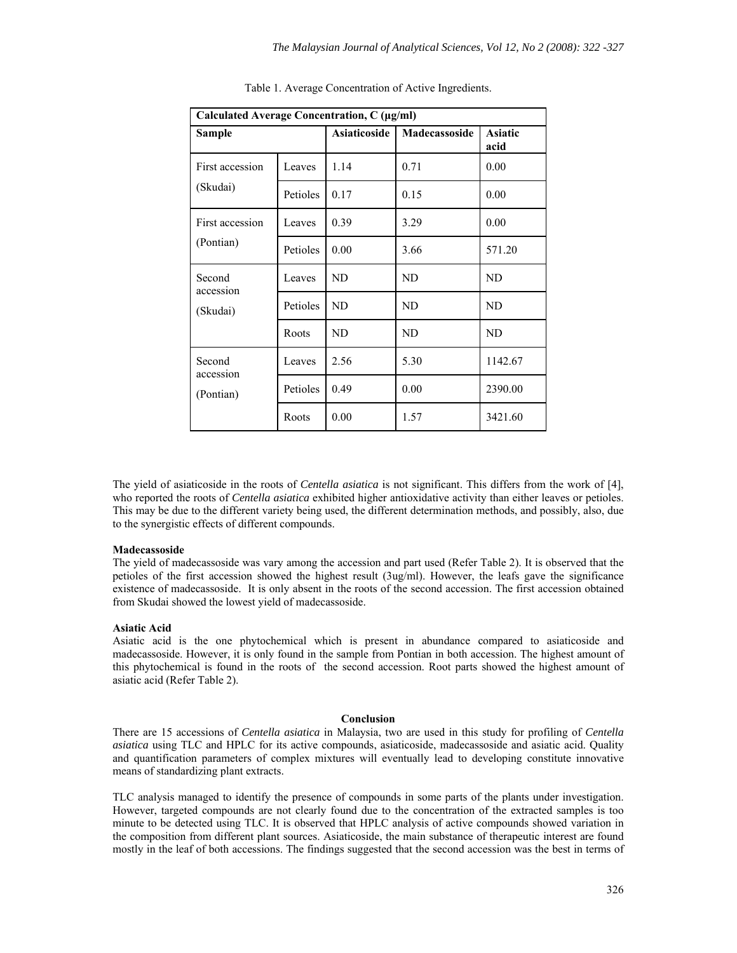| Calculated Average Concentration, C (µg/ml) |          |                     |               |                        |  |  |
|---------------------------------------------|----------|---------------------|---------------|------------------------|--|--|
| Sample                                      |          | <b>Asiaticoside</b> | Madecassoside | <b>Asiatic</b><br>acid |  |  |
| First accession<br>(Skudai)                 | Leaves   | 1.14                | 0.71          | 0.00                   |  |  |
|                                             | Petioles | 0.17                | 0.15          | 0.00                   |  |  |
| First accession<br>(Pontian)                | Leaves   | 0.39                | 3.29          | 0.00                   |  |  |
|                                             | Petioles | 0.00                | 3.66          | 571.20                 |  |  |
| Second<br>accession<br>(Skudai)             | Leaves   | ND                  | <b>ND</b>     | ND                     |  |  |
|                                             | Petioles | ND                  | ND            | ND                     |  |  |
|                                             | Roots    | ND                  | ND            | ND                     |  |  |
| Second<br>accession<br>(Pontian)            | Leaves   | 2.56                | 5.30          | 1142.67                |  |  |
|                                             | Petioles | 0.49                | 0.00          | 2390.00                |  |  |
|                                             | Roots    | 0.00                | 1.57          | 3421.60                |  |  |

Table 1. Average Concentration of Active Ingredients.

The yield of asiaticoside in the roots of *Centella asiatica* is not significant. This differs from the work of [4], who reported the roots of *Centella asiatica* exhibited higher antioxidative activity than either leaves or petioles. This may be due to the different variety being used, the different determination methods, and possibly, also, due to the synergistic effects of different compounds.

### **Madecassoside**

The yield of madecassoside was vary among the accession and part used (Refer Table 2). It is observed that the petioles of the first accession showed the highest result (3ug/ml). However, the leafs gave the significance existence of madecassoside. It is only absent in the roots of the second accession. The first accession obtained from Skudai showed the lowest yield of madecassoside.

#### **Asiatic Acid**

Asiatic acid is the one phytochemical which is present in abundance compared to asiaticoside and madecassoside. However, it is only found in the sample from Pontian in both accession. The highest amount of this phytochemical is found in the roots of the second accession. Root parts showed the highest amount of asiatic acid (Refer Table 2).

#### **Conclusion**

There are 15 accessions of *Centella asiatica* in Malaysia, two are used in this study for profiling of *Centella asiatica* using TLC and HPLC for its active compounds, asiaticoside, madecassoside and asiatic acid. Quality and quantification parameters of complex mixtures will eventually lead to developing constitute innovative means of standardizing plant extracts.

TLC analysis managed to identify the presence of compounds in some parts of the plants under investigation. However, targeted compounds are not clearly found due to the concentration of the extracted samples is too minute to be detected using TLC. It is observed that HPLC analysis of active compounds showed variation in the composition from different plant sources. Asiaticoside, the main substance of therapeutic interest are found mostly in the leaf of both accessions. The findings suggested that the second accession was the best in terms of